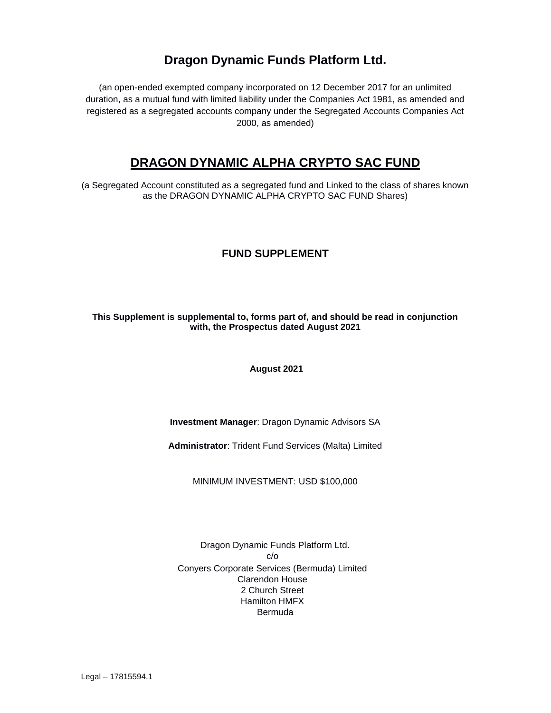# **Dragon Dynamic Funds Platform Ltd.**

(an open-ended exempted company incorporated on 12 December 2017 for an unlimited duration, as a mutual fund with limited liability under the Companies Act 1981, as amended and registered as a segregated accounts company under the Segregated Accounts Companies Act 2000, as amended)

# **DRAGON DYNAMIC ALPHA CRYPTO SAC FUND**

(a Segregated Account constituted as a segregated fund and Linked to the class of shares known as the DRAGON DYNAMIC ALPHA CRYPTO SAC FUND Shares)

# **FUND SUPPLEMENT**

## **This Supplement is supplemental to, forms part of, and should be read in conjunction with, the Prospectus dated August 2021**

**August 2021**

# **Investment Manager**: Dragon Dynamic Advisors SA

**Administrator**: Trident Fund Services (Malta) Limited

MINIMUM INVESTMENT: USD \$100,000

Dragon Dynamic Funds Platform Ltd. c/o Conyers Corporate Services (Bermuda) Limited Clarendon House 2 Church Street Hamilton HMFX Bermuda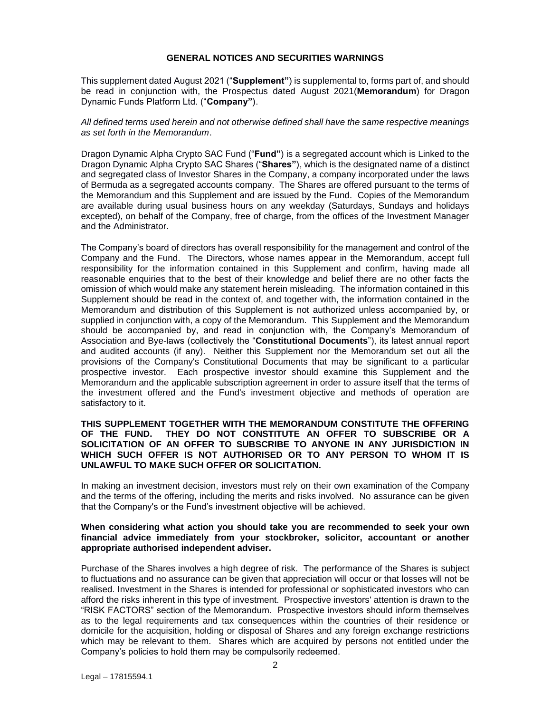### **GENERAL NOTICES AND SECURITIES WARNINGS**

This supplement dated August 2021 ("**Supplement"**) is supplemental to, forms part of, and should be read in conjunction with, the Prospectus dated August 2021(**Memorandum**) for Dragon Dynamic Funds Platform Ltd. ("**Company"**).

## *All defined terms used herein and not otherwise defined shall have the same respective meanings as set forth in the Memorandum*.

Dragon Dynamic Alpha Crypto SAC Fund ("**Fund"**) is a segregated account which is Linked to the Dragon Dynamic Alpha Crypto SAC Shares ("**Shares"**), which is the designated name of a distinct and segregated class of Investor Shares in the Company, a company incorporated under the laws of Bermuda as a segregated accounts company. The Shares are offered pursuant to the terms of the Memorandum and this Supplement and are issued by the Fund. Copies of the Memorandum are available during usual business hours on any weekday (Saturdays, Sundays and holidays excepted), on behalf of the Company, free of charge, from the offices of the Investment Manager and the Administrator.

The Company's board of directors has overall responsibility for the management and control of the Company and the Fund. The Directors, whose names appear in the Memorandum, accept full responsibility for the information contained in this Supplement and confirm, having made all reasonable enquiries that to the best of their knowledge and belief there are no other facts the omission of which would make any statement herein misleading. The information contained in this Supplement should be read in the context of, and together with, the information contained in the Memorandum and distribution of this Supplement is not authorized unless accompanied by, or supplied in conjunction with, a copy of the Memorandum. This Supplement and the Memorandum should be accompanied by, and read in conjunction with, the Company's Memorandum of Association and Bye-laws (collectively the "**Constitutional Documents**"), its latest annual report and audited accounts (if any). Neither this Supplement nor the Memorandum set out all the provisions of the Company's Constitutional Documents that may be significant to a particular prospective investor. Each prospective investor should examine this Supplement and the Memorandum and the applicable subscription agreement in order to assure itself that the terms of the investment offered and the Fund's investment objective and methods of operation are satisfactory to it.

## **THIS SUPPLEMENT TOGETHER WITH THE MEMORANDUM CONSTITUTE THE OFFERING OF THE FUND. THEY DO NOT CONSTITUTE AN OFFER TO SUBSCRIBE OR A SOLICITATION OF AN OFFER TO SUBSCRIBE TO ANYONE IN ANY JURISDICTION IN WHICH SUCH OFFER IS NOT AUTHORISED OR TO ANY PERSON TO WHOM IT IS UNLAWFUL TO MAKE SUCH OFFER OR SOLICITATION.**

In making an investment decision, investors must rely on their own examination of the Company and the terms of the offering, including the merits and risks involved. No assurance can be given that the Company's or the Fund's investment objective will be achieved.

### **When considering what action you should take you are recommended to seek your own financial advice immediately from your stockbroker, solicitor, accountant or another appropriate authorised independent adviser.**

Purchase of the Shares involves a high degree of risk. The performance of the Shares is subject to fluctuations and no assurance can be given that appreciation will occur or that losses will not be realised. Investment in the Shares is intended for professional or sophisticated investors who can afford the risks inherent in this type of investment. Prospective investors' attention is drawn to the "RISK FACTORS" section of the Memorandum. Prospective investors should inform themselves as to the legal requirements and tax consequences within the countries of their residence or domicile for the acquisition, holding or disposal of Shares and any foreign exchange restrictions which may be relevant to them. Shares which are acquired by persons not entitled under the Company's policies to hold them may be compulsorily redeemed.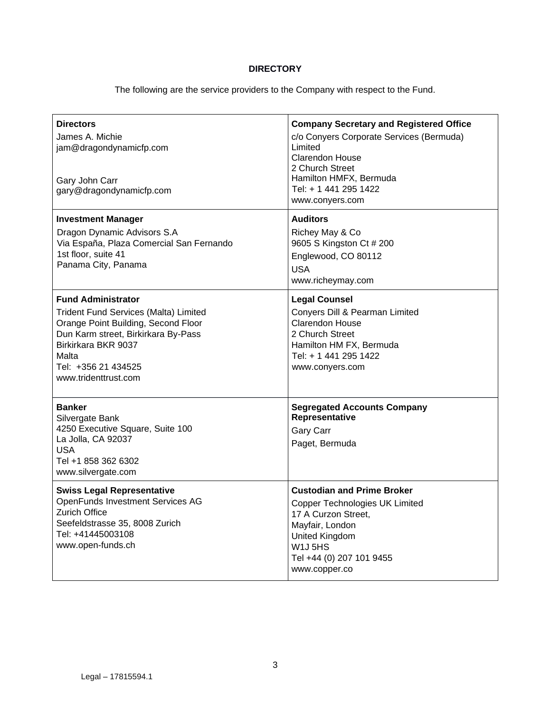# **DIRECTORY**

The following are the service providers to the Company with respect to the Fund.

| <b>Directors</b><br>James A. Michie<br>jam@dragondynamicfp.com<br>Gary John Carr<br>gary@dragondynamicfp.com                                                                                                                           | <b>Company Secretary and Registered Office</b><br>c/o Conyers Corporate Services (Bermuda)<br>Limited<br><b>Clarendon House</b><br>2 Church Street<br>Hamilton HMFX, Bermuda<br>Tel: + 1 441 295 1422<br>www.conyers.com |
|----------------------------------------------------------------------------------------------------------------------------------------------------------------------------------------------------------------------------------------|--------------------------------------------------------------------------------------------------------------------------------------------------------------------------------------------------------------------------|
| <b>Investment Manager</b><br>Dragon Dynamic Advisors S.A<br>Via España, Plaza Comercial San Fernando<br>1st floor, suite 41<br>Panama City, Panama                                                                                     | <b>Auditors</b><br>Richey May & Co<br>9605 S Kingston Ct # 200<br>Englewood, CO 80112<br><b>USA</b><br>www.richeymay.com                                                                                                 |
| <b>Fund Administrator</b><br><b>Trident Fund Services (Malta) Limited</b><br>Orange Point Building, Second Floor<br>Dun Karm street, Birkirkara By-Pass<br>Birkirkara BKR 9037<br>Malta<br>Tel: +356 21 434525<br>www.tridenttrust.com | <b>Legal Counsel</b><br>Conyers Dill & Pearman Limited<br><b>Clarendon House</b><br>2 Church Street<br>Hamilton HM FX, Bermuda<br>Tel: + 1 441 295 1422<br>www.conyers.com                                               |
| <b>Banker</b><br>Silvergate Bank<br>4250 Executive Square, Suite 100<br>La Jolla, CA 92037<br><b>USA</b><br>Tel +1 858 362 6302<br>www.silvergate.com                                                                                  | <b>Segregated Accounts Company</b><br>Representative<br><b>Gary Carr</b><br>Paget, Bermuda                                                                                                                               |
| <b>Swiss Legal Representative</b><br><b>OpenFunds Investment Services AG</b><br><b>Zurich Office</b><br>Seefeldstrasse 35, 8008 Zurich<br>Tel: +41445003108<br>www.open-funds.ch                                                       | <b>Custodian and Prime Broker</b><br><b>Copper Technologies UK Limited</b><br>17 A Curzon Street,<br>Mayfair, London<br>United Kingdom<br>W <sub>1</sub> J <sub>5</sub> HS<br>Tel +44 (0) 207 101 9455<br>www.copper.co  |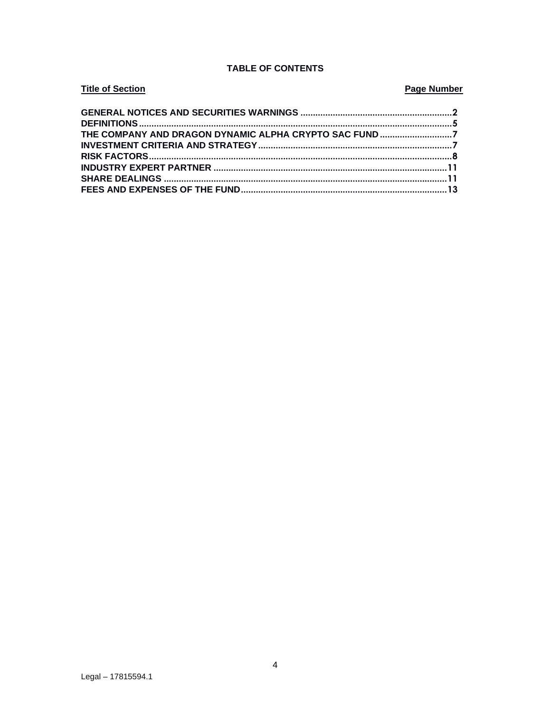# **TABLE OF CONTENTS**

# **Title of Section Page Number**

| THE COMPANY AND DRAGON DYNAMIC ALPHA CRYPTO SAC FUND7 |  |
|-------------------------------------------------------|--|
|                                                       |  |
|                                                       |  |
|                                                       |  |
|                                                       |  |
|                                                       |  |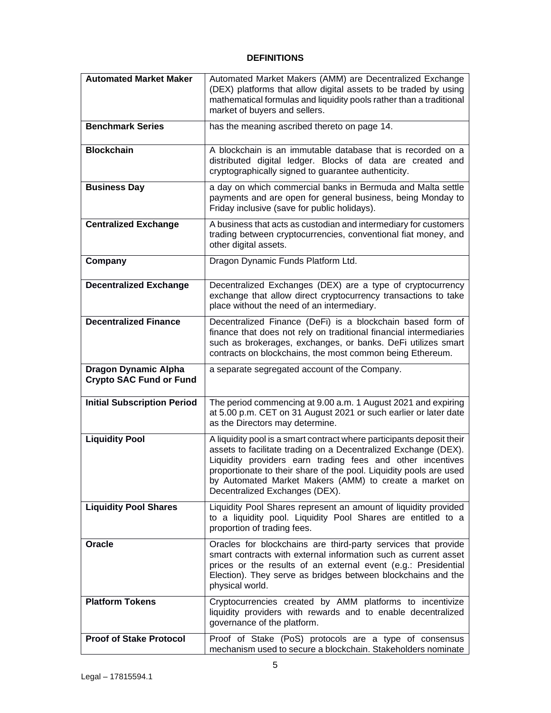# **DEFINITIONS**

| <b>Automated Market Maker</b>                                 | Automated Market Makers (AMM) are Decentralized Exchange<br>(DEX) platforms that allow digital assets to be traded by using<br>mathematical formulas and liquidity pools rather than a traditional<br>market of buyers and sellers.                                                                                                                                      |
|---------------------------------------------------------------|--------------------------------------------------------------------------------------------------------------------------------------------------------------------------------------------------------------------------------------------------------------------------------------------------------------------------------------------------------------------------|
| <b>Benchmark Series</b>                                       | has the meaning ascribed thereto on page 14.                                                                                                                                                                                                                                                                                                                             |
| <b>Blockchain</b>                                             | A blockchain is an immutable database that is recorded on a<br>distributed digital ledger. Blocks of data are created and<br>cryptographically signed to guarantee authenticity.                                                                                                                                                                                         |
| <b>Business Day</b>                                           | a day on which commercial banks in Bermuda and Malta settle<br>payments and are open for general business, being Monday to<br>Friday inclusive (save for public holidays).                                                                                                                                                                                               |
| <b>Centralized Exchange</b>                                   | A business that acts as custodian and intermediary for customers<br>trading between cryptocurrencies, conventional fiat money, and<br>other digital assets.                                                                                                                                                                                                              |
| Company                                                       | Dragon Dynamic Funds Platform Ltd.                                                                                                                                                                                                                                                                                                                                       |
| <b>Decentralized Exchange</b>                                 | Decentralized Exchanges (DEX) are a type of cryptocurrency<br>exchange that allow direct cryptocurrency transactions to take<br>place without the need of an intermediary.                                                                                                                                                                                               |
| <b>Decentralized Finance</b>                                  | Decentralized Finance (DeFi) is a blockchain based form of<br>finance that does not rely on traditional financial intermediaries<br>such as brokerages, exchanges, or banks. DeFi utilizes smart<br>contracts on blockchains, the most common being Ethereum.                                                                                                            |
|                                                               |                                                                                                                                                                                                                                                                                                                                                                          |
| <b>Dragon Dynamic Alpha</b><br><b>Crypto SAC Fund or Fund</b> | a separate segregated account of the Company.                                                                                                                                                                                                                                                                                                                            |
| <b>Initial Subscription Period</b>                            | The period commencing at 9.00 a.m. 1 August 2021 and expiring<br>at 5.00 p.m. CET on 31 August 2021 or such earlier or later date<br>as the Directors may determine.                                                                                                                                                                                                     |
| <b>Liquidity Pool</b>                                         | A liquidity pool is a smart contract where participants deposit their<br>assets to facilitate trading on a Decentralized Exchange (DEX).<br>Liquidity providers earn trading fees and other incentives<br>proportionate to their share of the pool. Liquidity pools are used<br>by Automated Market Makers (AMM) to create a market on<br>Decentralized Exchanges (DEX). |
| <b>Liquidity Pool Shares</b>                                  | Liquidity Pool Shares represent an amount of liquidity provided<br>to a liquidity pool. Liquidity Pool Shares are entitled to a<br>proportion of trading fees.                                                                                                                                                                                                           |
| Oracle                                                        | Oracles for blockchains are third-party services that provide<br>smart contracts with external information such as current asset<br>prices or the results of an external event (e.g.: Presidential<br>Election). They serve as bridges between blockchains and the<br>physical world.                                                                                    |
| <b>Platform Tokens</b>                                        | Cryptocurrencies created by AMM platforms to incentivize<br>liquidity providers with rewards and to enable decentralized<br>governance of the platform.                                                                                                                                                                                                                  |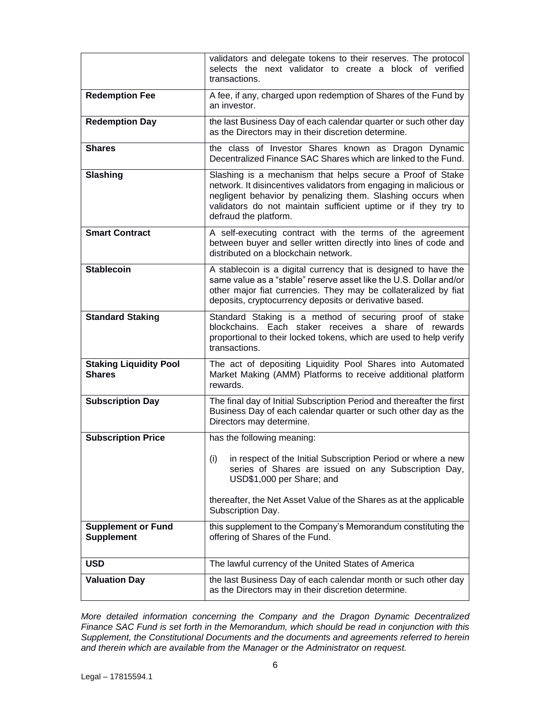|                                                | validators and delegate tokens to their reserves. The protocol<br>selects the next validator to create a block of verified<br>transactions.                                                                                                                                                |
|------------------------------------------------|--------------------------------------------------------------------------------------------------------------------------------------------------------------------------------------------------------------------------------------------------------------------------------------------|
| <b>Redemption Fee</b>                          | A fee, if any, charged upon redemption of Shares of the Fund by<br>an investor.                                                                                                                                                                                                            |
| <b>Redemption Day</b>                          | the last Business Day of each calendar quarter or such other day<br>as the Directors may in their discretion determine.                                                                                                                                                                    |
| <b>Shares</b>                                  | the class of Investor Shares known as Dragon Dynamic<br>Decentralized Finance SAC Shares which are linked to the Fund.                                                                                                                                                                     |
| Slashing                                       | Slashing is a mechanism that helps secure a Proof of Stake<br>network. It disincentives validators from engaging in malicious or<br>negligent behavior by penalizing them. Slashing occurs when<br>validators do not maintain sufficient uptime or if they try to<br>defraud the platform. |
| <b>Smart Contract</b>                          | A self-executing contract with the terms of the agreement<br>between buyer and seller written directly into lines of code and<br>distributed on a blockchain network.                                                                                                                      |
| <b>Stablecoin</b>                              | A stablecoin is a digital currency that is designed to have the<br>same value as a "stable" reserve asset like the U.S. Dollar and/or<br>other major fiat currencies. They may be collateralized by fiat<br>deposits, cryptocurrency deposits or derivative based.                         |
| <b>Standard Staking</b>                        | Standard Staking is a method of securing proof of stake<br>blockchains. Each staker receives a share of rewards<br>proportional to their locked tokens, which are used to help verify<br>transactions.                                                                                     |
| <b>Staking Liquidity Pool</b><br><b>Shares</b> | The act of depositing Liquidity Pool Shares into Automated<br>Market Making (AMM) Platforms to receive additional platform<br>rewards.                                                                                                                                                     |
| <b>Subscription Day</b>                        | The final day of Initial Subscription Period and thereafter the first<br>Business Day of each calendar quarter or such other day as the<br>Directors may determine.                                                                                                                        |
| <b>Subscription Price</b>                      | has the following meaning:                                                                                                                                                                                                                                                                 |
|                                                | in respect of the Initial Subscription Period or where a new<br>(i)<br>series of Shares are issued on any Subscription Day,<br>USD\$1,000 per Share; and                                                                                                                                   |
|                                                | thereafter, the Net Asset Value of the Shares as at the applicable<br>Subscription Day.                                                                                                                                                                                                    |
| <b>Supplement or Fund</b><br><b>Supplement</b> | this supplement to the Company's Memorandum constituting the<br>offering of Shares of the Fund.                                                                                                                                                                                            |
| <b>USD</b>                                     | The lawful currency of the United States of America                                                                                                                                                                                                                                        |
| <b>Valuation Day</b>                           | the last Business Day of each calendar month or such other day<br>as the Directors may in their discretion determine.                                                                                                                                                                      |

*More detailed information concerning the Company and the Dragon Dynamic Decentralized Finance SAC Fund is set forth in the Memorandum, which should be read in conjunction with this Supplement, the Constitutional Documents and the documents and agreements referred to herein and therein which are available from the Manager or the Administrator on request.*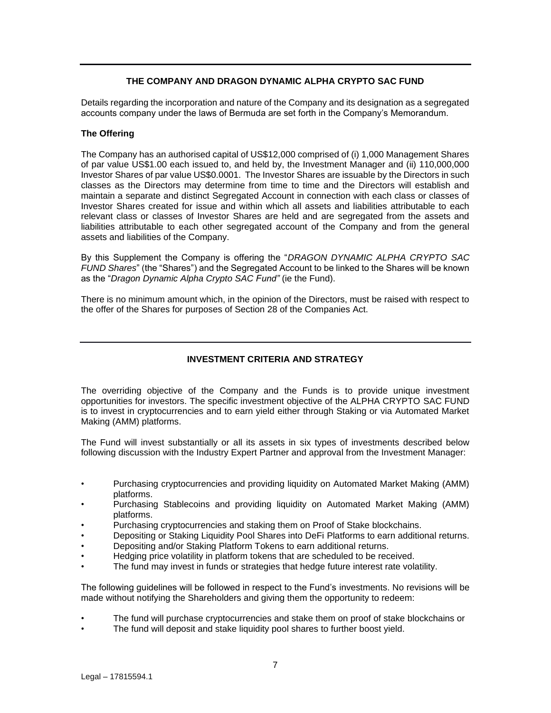# **THE COMPANY AND DRAGON DYNAMIC ALPHA CRYPTO SAC FUND**

Details regarding the incorporation and nature of the Company and its designation as a segregated accounts company under the laws of Bermuda are set forth in the Company's Memorandum.

## **The Offering**

The Company has an authorised capital of US\$12,000 comprised of (i) 1,000 Management Shares of par value US\$1.00 each issued to, and held by, the Investment Manager and (ii) 110,000,000 Investor Shares of par value US\$0.0001. The Investor Shares are issuable by the Directors in such classes as the Directors may determine from time to time and the Directors will establish and maintain a separate and distinct Segregated Account in connection with each class or classes of Investor Shares created for issue and within which all assets and liabilities attributable to each relevant class or classes of Investor Shares are held and are segregated from the assets and liabilities attributable to each other segregated account of the Company and from the general assets and liabilities of the Company.

By this Supplement the Company is offering the "*DRAGON DYNAMIC ALPHA CRYPTO SAC FUND Shares*" (the "Shares") and the Segregated Account to be linked to the Shares will be known as the "*Dragon Dynamic Alpha Crypto SAC Fund"* (ie the Fund).

There is no minimum amount which, in the opinion of the Directors, must be raised with respect to the offer of the Shares for purposes of Section 28 of the Companies Act.

# **INVESTMENT CRITERIA AND STRATEGY**

The overriding objective of the Company and the Funds is to provide unique investment opportunities for investors. The specific investment objective of the ALPHA CRYPTO SAC FUND is to invest in cryptocurrencies and to earn yield either through Staking or via Automated Market Making (AMM) platforms.

The Fund will invest substantially or all its assets in six types of investments described below following discussion with the Industry Expert Partner and approval from the Investment Manager:

- Purchasing cryptocurrencies and providing liquidity on Automated Market Making (AMM) platforms.
- Purchasing Stablecoins and providing liquidity on Automated Market Making (AMM) platforms.
- Purchasing cryptocurrencies and staking them on Proof of Stake blockchains.
- Depositing or Staking Liquidity Pool Shares into DeFi Platforms to earn additional returns.
- Depositing and/or Staking Platform Tokens to earn additional returns.
- Hedging price volatility in platform tokens that are scheduled to be received.
- The fund may invest in funds or strategies that hedge future interest rate volatility.

The following guidelines will be followed in respect to the Fund's investments. No revisions will be made without notifying the Shareholders and giving them the opportunity to redeem:

- The fund will purchase cryptocurrencies and stake them on proof of stake blockchains or
- The fund will deposit and stake liquidity pool shares to further boost yield.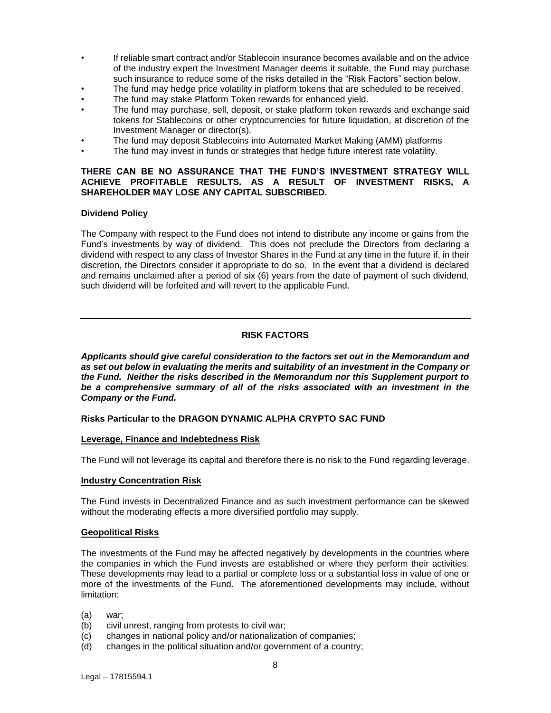- If reliable smart contract and/or Stablecoin insurance becomes available and on the advice of the industry expert the Investment Manager deems it suitable, the Fund may purchase such insurance to reduce some of the risks detailed in the "Risk Factors" section below.
- The fund may hedge price volatility in platform tokens that are scheduled to be received.
- The fund may stake Platform Token rewards for enhanced yield.
- The fund may purchase, sell, deposit, or stake platform token rewards and exchange said tokens for Stablecoins or other cryptocurrencies for future liquidation, at discretion of the Investment Manager or director(s).
- The fund may deposit Stablecoins into Automated Market Making (AMM) platforms
- The fund may invest in funds or strategies that hedge future interest rate volatility.

## **THERE CAN BE NO ASSURANCE THAT THE FUND'S INVESTMENT STRATEGY WILL ACHIEVE PROFITABLE RESULTS. AS A RESULT OF INVESTMENT RISKS, A SHAREHOLDER MAY LOSE ANY CAPITAL SUBSCRIBED.**

## **Dividend Policy**

The Company with respect to the Fund does not intend to distribute any income or gains from the Fund's investments by way of dividend. This does not preclude the Directors from declaring a dividend with respect to any class of Investor Shares in the Fund at any time in the future if, in their discretion, the Directors consider it appropriate to do so. In the event that a dividend is declared and remains unclaimed after a period of six (6) years from the date of payment of such dividend, such dividend will be forfeited and will revert to the applicable Fund.

# **RISK FACTORS**

*Applicants should give careful consideration to the factors set out in the Memorandum and as set out below in evaluating the merits and suitability of an investment in the Company or the Fund. Neither the risks described in the Memorandum nor this Supplement purport to be a comprehensive summary of all of the risks associated with an investment in the Company or the Fund.*

## **Risks Particular to the DRAGON DYNAMIC ALPHA CRYPTO SAC FUND**

## **Leverage, Finance and Indebtedness Risk**

The Fund will not leverage its capital and therefore there is no risk to the Fund regarding leverage.

## **Industry Concentration Risk**

The Fund invests in Decentralized Finance and as such investment performance can be skewed without the moderating effects a more diversified portfolio may supply.

## **Geopolitical Risks**

The investments of the Fund may be affected negatively by developments in the countries where the companies in which the Fund invests are established or where they perform their activities. These developments may lead to a partial or complete loss or a substantial loss in value of one or more of the investments of the Fund. The aforementioned developments may include, without limitation:

- (a) war;
- (b) civil unrest, ranging from protests to civil war;
- (c) changes in national policy and/or nationalization of companies;
- (d) changes in the political situation and/or government of a country;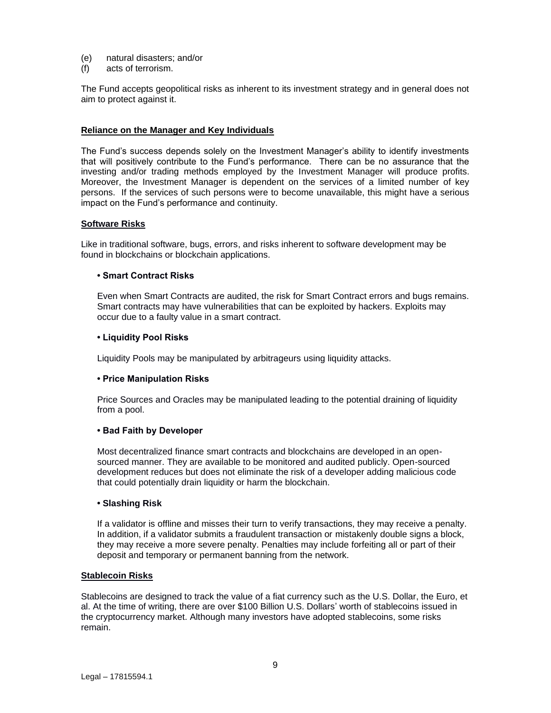- (e) natural disasters; and/or
- (f) acts of terrorism.

The Fund accepts geopolitical risks as inherent to its investment strategy and in general does not aim to protect against it.

### **Reliance on the Manager and Key Individuals**

The Fund's success depends solely on the Investment Manager's ability to identify investments that will positively contribute to the Fund's performance. There can be no assurance that the investing and/or trading methods employed by the Investment Manager will produce profits. Moreover, the Investment Manager is dependent on the services of a limited number of key persons. If the services of such persons were to become unavailable, this might have a serious impact on the Fund's performance and continuity.

#### **Software Risks**

Like in traditional software, bugs, errors, and risks inherent to software development may be found in blockchains or blockchain applications.

#### **• Smart Contract Risks**

Even when Smart Contracts are audited, the risk for Smart Contract errors and bugs remains. Smart contracts may have vulnerabilities that can be exploited by hackers. Exploits may occur due to a faulty value in a smart contract.

#### **• Liquidity Pool Risks**

Liquidity Pools may be manipulated by arbitrageurs using liquidity attacks.

## **• Price Manipulation Risks**

Price Sources and Oracles may be manipulated leading to the potential draining of liquidity from a pool.

## **• Bad Faith by Developer**

Most decentralized finance smart contracts and blockchains are developed in an opensourced manner. They are available to be monitored and audited publicly. Open-sourced development reduces but does not eliminate the risk of a developer adding malicious code that could potentially drain liquidity or harm the blockchain.

#### **• Slashing Risk**

If a validator is offline and misses their turn to verify transactions, they may receive a penalty. In addition, if a validator submits a fraudulent transaction or mistakenly double signs a block, they may receive a more severe penalty. Penalties may include forfeiting all or part of their deposit and temporary or permanent banning from the network.

#### **Stablecoin Risks**

Stablecoins are designed to track the value of a fiat currency such as the U.S. Dollar, the Euro, et al. At the time of writing, there are over \$100 Billion U.S. Dollars' worth of stablecoins issued in the cryptocurrency market. Although many investors have adopted stablecoins, some risks remain.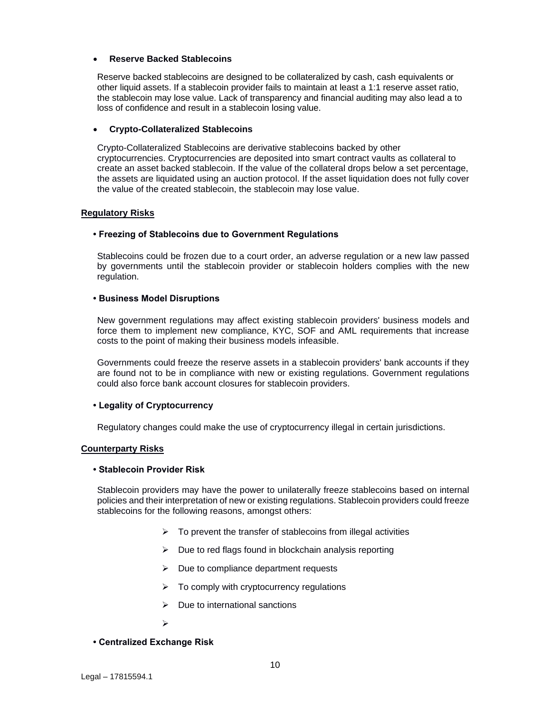## • **Reserve Backed Stablecoins**

Reserve backed stablecoins are designed to be collateralized by cash, cash equivalents or other liquid assets. If a stablecoin provider fails to maintain at least a 1:1 reserve asset ratio, the stablecoin may lose value. Lack of transparency and financial auditing may also lead a to loss of confidence and result in a stablecoin losing value.

## • **Crypto-Collateralized Stablecoins**

Crypto-Collateralized Stablecoins are derivative stablecoins backed by other cryptocurrencies. Cryptocurrencies are deposited into smart contract vaults as collateral to create an asset backed stablecoin. If the value of the collateral drops below a set percentage, the assets are liquidated using an auction protocol. If the asset liquidation does not fully cover the value of the created stablecoin, the stablecoin may lose value.

## **Regulatory Risks**

## **• Freezing of Stablecoins due to Government Regulations**

Stablecoins could be frozen due to a court order, an adverse regulation or a new law passed by governments until the stablecoin provider or stablecoin holders complies with the new regulation.

## **• Business Model Disruptions**

New government regulations may affect existing stablecoin providers' business models and force them to implement new compliance, KYC, SOF and AML requirements that increase costs to the point of making their business models infeasible.

Governments could freeze the reserve assets in a stablecoin providers' bank accounts if they are found not to be in compliance with new or existing regulations. Government regulations could also force bank account closures for stablecoin providers.

## **• Legality of Cryptocurrency**

Regulatory changes could make the use of cryptocurrency illegal in certain jurisdictions.

## **Counterparty Risks**

## **• Stablecoin Provider Risk**

Stablecoin providers may have the power to unilaterally freeze stablecoins based on internal policies and their interpretation of new or existing regulations. Stablecoin providers could freeze stablecoins for the following reasons, amongst others:

- $\triangleright$  To prevent the transfer of stablecoins from illegal activities
- ➢ Due to red flags found in blockchain analysis reporting
- ➢ Due to compliance department requests
- $\triangleright$  To comply with cryptocurrency regulations
- $\triangleright$  Due to international sanctions
- ➢
- **Centralized Exchange Risk**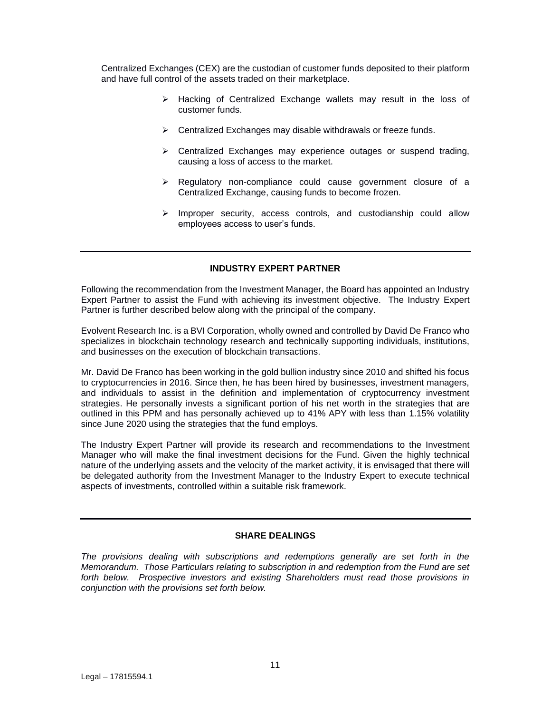Centralized Exchanges (CEX) are the custodian of customer funds deposited to their platform and have full control of the assets traded on their marketplace.

- ➢ Hacking of Centralized Exchange wallets may result in the loss of customer funds.
- ➢ Centralized Exchanges may disable withdrawals or freeze funds.
- ➢ Centralized Exchanges may experience outages or suspend trading, causing a loss of access to the market.
- ➢ Regulatory non-compliance could cause government closure of a Centralized Exchange, causing funds to become frozen.
- ➢ Improper security, access controls, and custodianship could allow employees access to user's funds.

## **INDUSTRY EXPERT PARTNER**

Following the recommendation from the Investment Manager, the Board has appointed an Industry Expert Partner to assist the Fund with achieving its investment objective. The Industry Expert Partner is further described below along with the principal of the company.

Evolvent Research Inc. is a BVI Corporation, wholly owned and controlled by David De Franco who specializes in blockchain technology research and technically supporting individuals, institutions, and businesses on the execution of blockchain transactions.

Mr. David De Franco has been working in the gold bullion industry since 2010 and shifted his focus to cryptocurrencies in 2016. Since then, he has been hired by businesses, investment managers, and individuals to assist in the definition and implementation of cryptocurrency investment strategies. He personally invests a significant portion of his net worth in the strategies that are outlined in this PPM and has personally achieved up to 41% APY with less than 1.15% volatility since June 2020 using the strategies that the fund employs.

The Industry Expert Partner will provide its research and recommendations to the Investment Manager who will make the final investment decisions for the Fund. Given the highly technical nature of the underlying assets and the velocity of the market activity, it is envisaged that there will be delegated authority from the Investment Manager to the Industry Expert to execute technical aspects of investments, controlled within a suitable risk framework.

## **SHARE DEALINGS**

*The provisions dealing with subscriptions and redemptions generally are set forth in the Memorandum. Those Particulars relating to subscription in and redemption from the Fund are set forth below. Prospective investors and existing Shareholders must read those provisions in conjunction with the provisions set forth below.*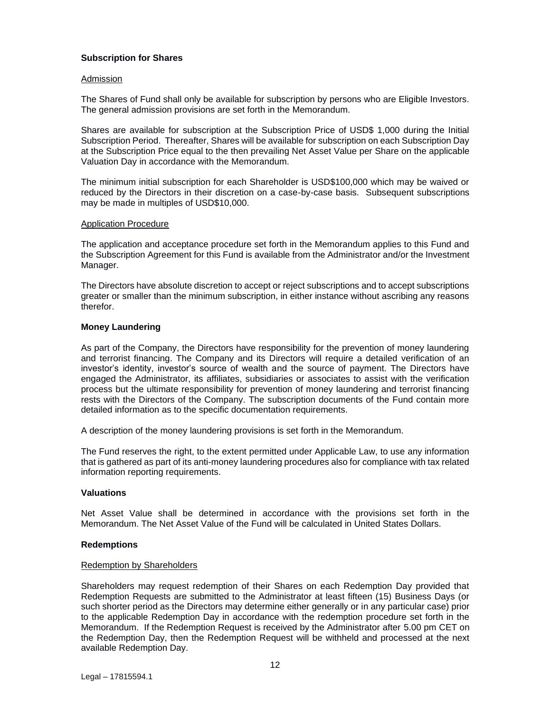## **Subscription for Shares**

### Admission

The Shares of Fund shall only be available for subscription by persons who are Eligible Investors. The general admission provisions are set forth in the Memorandum.

Shares are available for subscription at the Subscription Price of USD\$ 1,000 during the Initial Subscription Period. Thereafter, Shares will be available for subscription on each Subscription Day at the Subscription Price equal to the then prevailing Net Asset Value per Share on the applicable Valuation Day in accordance with the Memorandum.

The minimum initial subscription for each Shareholder is USD\$100,000 which may be waived or reduced by the Directors in their discretion on a case-by-case basis. Subsequent subscriptions may be made in multiples of USD\$10,000.

### Application Procedure

The application and acceptance procedure set forth in the Memorandum applies to this Fund and the Subscription Agreement for this Fund is available from the Administrator and/or the Investment Manager.

The Directors have absolute discretion to accept or reject subscriptions and to accept subscriptions greater or smaller than the minimum subscription, in either instance without ascribing any reasons therefor.

## **Money Laundering**

As part of the Company, the Directors have responsibility for the prevention of money laundering and terrorist financing. The Company and its Directors will require a detailed verification of an investor's identity, investor's source of wealth and the source of payment. The Directors have engaged the Administrator, its affiliates, subsidiaries or associates to assist with the verification process but the ultimate responsibility for prevention of money laundering and terrorist financing rests with the Directors of the Company. The subscription documents of the Fund contain more detailed information as to the specific documentation requirements.

A description of the money laundering provisions is set forth in the Memorandum.

The Fund reserves the right, to the extent permitted under Applicable Law, to use any information that is gathered as part of its anti-money laundering procedures also for compliance with tax related information reporting requirements.

## **Valuations**

Net Asset Value shall be determined in accordance with the provisions set forth in the Memorandum. The Net Asset Value of the Fund will be calculated in United States Dollars.

## **Redemptions**

#### Redemption by Shareholders

Shareholders may request redemption of their Shares on each Redemption Day provided that Redemption Requests are submitted to the Administrator at least fifteen (15) Business Days (or such shorter period as the Directors may determine either generally or in any particular case) prior to the applicable Redemption Day in accordance with the redemption procedure set forth in the Memorandum. If the Redemption Request is received by the Administrator after 5.00 pm CET on the Redemption Day, then the Redemption Request will be withheld and processed at the next available Redemption Day.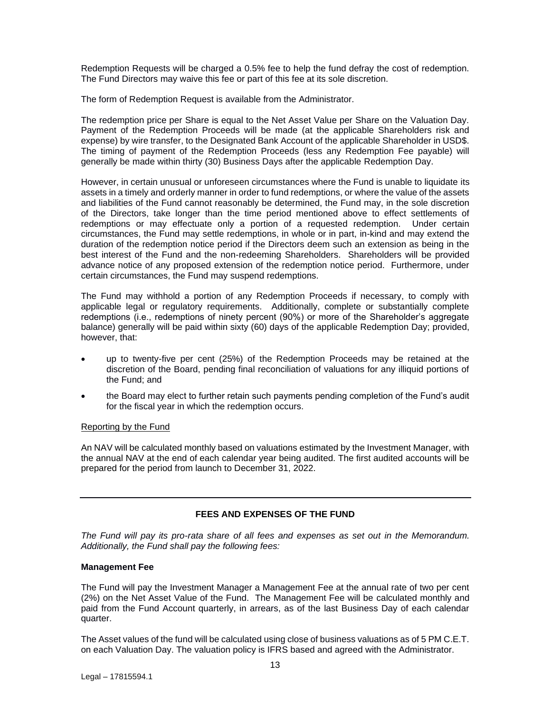Redemption Requests will be charged a 0.5% fee to help the fund defray the cost of redemption. The Fund Directors may waive this fee or part of this fee at its sole discretion.

The form of Redemption Request is available from the Administrator.

The redemption price per Share is equal to the Net Asset Value per Share on the Valuation Day. Payment of the Redemption Proceeds will be made (at the applicable Shareholders risk and expense) by wire transfer, to the Designated Bank Account of the applicable Shareholder in USD\$. The timing of payment of the Redemption Proceeds (less any Redemption Fee payable) will generally be made within thirty (30) Business Days after the applicable Redemption Day.

However, in certain unusual or unforeseen circumstances where the Fund is unable to liquidate its assets in a timely and orderly manner in order to fund redemptions, or where the value of the assets and liabilities of the Fund cannot reasonably be determined, the Fund may, in the sole discretion of the Directors, take longer than the time period mentioned above to effect settlements of redemptions or may effectuate only a portion of a requested redemption. Under certain circumstances, the Fund may settle redemptions, in whole or in part, in-kind and may extend the duration of the redemption notice period if the Directors deem such an extension as being in the best interest of the Fund and the non-redeeming Shareholders. Shareholders will be provided advance notice of any proposed extension of the redemption notice period. Furthermore, under certain circumstances, the Fund may suspend redemptions.

The Fund may withhold a portion of any Redemption Proceeds if necessary, to comply with applicable legal or regulatory requirements. Additionally, complete or substantially complete redemptions (i.e., redemptions of ninety percent (90%) or more of the Shareholder's aggregate balance) generally will be paid within sixty (60) days of the applicable Redemption Day; provided, however, that:

- up to twenty-five per cent (25%) of the Redemption Proceeds may be retained at the discretion of the Board, pending final reconciliation of valuations for any illiquid portions of the Fund; and
- the Board may elect to further retain such payments pending completion of the Fund's audit for the fiscal year in which the redemption occurs.

## Reporting by the Fund

An NAV will be calculated monthly based on valuations estimated by the Investment Manager, with the annual NAV at the end of each calendar year being audited. The first audited accounts will be prepared for the period from launch to December 31, 2022.

# **FEES AND EXPENSES OF THE FUND**

*The Fund will pay its pro-rata share of all fees and expenses as set out in the Memorandum. Additionally, the Fund shall pay the following fees:*

## **Management Fee**

The Fund will pay the Investment Manager a Management Fee at the annual rate of two per cent (2%) on the Net Asset Value of the Fund. The Management Fee will be calculated monthly and paid from the Fund Account quarterly, in arrears, as of the last Business Day of each calendar quarter.

The Asset values of the fund will be calculated using close of business valuations as of 5 PM C.E.T. on each Valuation Day. The valuation policy is IFRS based and agreed with the Administrator.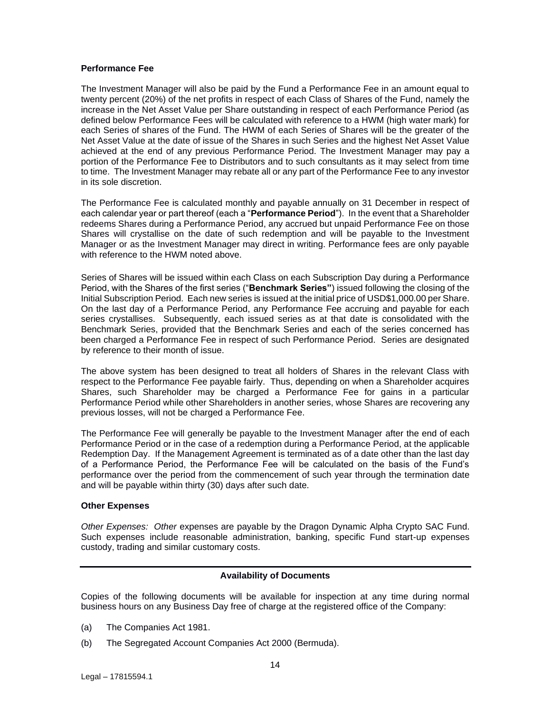### **Performance Fee**

The Investment Manager will also be paid by the Fund a Performance Fee in an amount equal to twenty percent (20%) of the net profits in respect of each Class of Shares of the Fund, namely the increase in the Net Asset Value per Share outstanding in respect of each Performance Period (as defined below Performance Fees will be calculated with reference to a HWM (high water mark) for each Series of shares of the Fund. The HWM of each Series of Shares will be the greater of the Net Asset Value at the date of issue of the Shares in such Series and the highest Net Asset Value achieved at the end of any previous Performance Period. The Investment Manager may pay a portion of the Performance Fee to Distributors and to such consultants as it may select from time to time. The Investment Manager may rebate all or any part of the Performance Fee to any investor in its sole discretion.

The Performance Fee is calculated monthly and payable annually on 31 December in respect of each calendar year or part thereof (each a "**Performance Period**"). In the event that a Shareholder redeems Shares during a Performance Period, any accrued but unpaid Performance Fee on those Shares will crystallise on the date of such redemption and will be payable to the Investment Manager or as the Investment Manager may direct in writing. Performance fees are only payable with reference to the HWM noted above.

Series of Shares will be issued within each Class on each Subscription Day during a Performance Period, with the Shares of the first series ("**Benchmark Series"**) issued following the closing of the Initial Subscription Period. Each new series is issued at the initial price of USD\$1,000.00 per Share. On the last day of a Performance Period, any Performance Fee accruing and payable for each series crystallises. Subsequently, each issued series as at that date is consolidated with the Benchmark Series, provided that the Benchmark Series and each of the series concerned has been charged a Performance Fee in respect of such Performance Period. Series are designated by reference to their month of issue.

The above system has been designed to treat all holders of Shares in the relevant Class with respect to the Performance Fee payable fairly. Thus, depending on when a Shareholder acquires Shares, such Shareholder may be charged a Performance Fee for gains in a particular Performance Period while other Shareholders in another series, whose Shares are recovering any previous losses, will not be charged a Performance Fee.

The Performance Fee will generally be payable to the Investment Manager after the end of each Performance Period or in the case of a redemption during a Performance Period, at the applicable Redemption Day. If the Management Agreement is terminated as of a date other than the last day of a Performance Period, the Performance Fee will be calculated on the basis of the Fund's performance over the period from the commencement of such year through the termination date and will be payable within thirty (30) days after such date.

## **Other Expenses**

*Other Expenses: Other* expenses are payable by the Dragon Dynamic Alpha Crypto SAC Fund. Such expenses include reasonable administration, banking, specific Fund start-up expenses custody, trading and similar customary costs.

## **Availability of Documents**

Copies of the following documents will be available for inspection at any time during normal business hours on any Business Day free of charge at the registered office of the Company:

- (a) The Companies Act 1981.
- (b) The Segregated Account Companies Act 2000 (Bermuda).